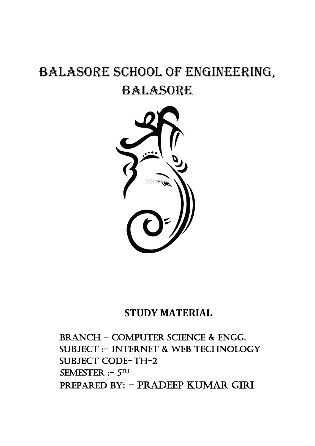# BALASORE SCHOOL OF ENGINEERING, BALASORE



# **STUDY MATERIAL**

BRANCH – Computer science & Engg. SUBJECT :- INTERNET & WEB TECHNOLOGY SUBJECT CODE-TH-2 SEMESTER : – 5TH PREPARED BY: - Pradeep Kumar giri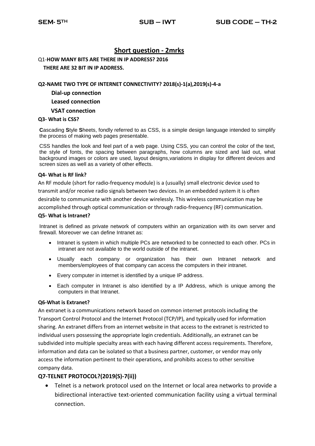# **Short question - 2mrks**

Q1-**HOW MANY BITS ARE THERE IN IP ADDRESS? 2016 THERE ARE 32 BIT IN IP ADDRESS.**

#### **Q2-NAME TWO TYPE OF INTERNET CONNECTIVITY? 2018(s)-1(a),2019(s)-4-a**

**Dial-up connection**

# **Leased connection**

 **VSAT connection** 

#### **Q3- What is CSS?**

**C**ascading **S**tyle **S**heets, fondly referred to as CSS, is a simple design language intended to simplify the process of making web pages presentable.

CSS handles the look and feel part of a web page. Using CSS, you can control the color of the text, the style of fonts, the spacing between paragraphs, how columns are sized and laid out, what background images or colors are used, layout designs,variations in display for different devices and screen sizes as well as a variety of other effects.

#### **Q4- What is RF link?**

An RF module (short for radio-frequency module) is a (usually) small electronic device used to transmit and/or receive radio signals between two devices. In an embedded system it is often desirable to communicate with another device wirelessly. This wireless communication may be accomplished through optical communication or through radio-frequency (RF) communication.

#### **Q5- What is Intranet?**

Intranet is defined as private network of computers within an organization with its own server and firewall. Moreover we can define Intranet as:

- Intranet is system in which multiple PCs are networked to be connected to each other. PCs in intranet are not available to the world outside of the intranet.
- Usually each company or organization has their own Intranet network and members/employees of that company can access the computers in their intranet.
- Every computer in internet is identified by a unique IP address.
- Each computer in Intranet is also identified by a IP Address, which is unique among the computers in that Intranet.

#### **Q6-What is Extranet?**

An extranet is a communications network based on common internet protocols including the Transport Control Protocol and the Internet Protocol (TCP/IP), and typically used for information sharing. An extranet differs from an internet website in that access to the extranet is restricted to individual users possessing the appropriate login credentials. Additionally, an extranet can be subdivided into multiple specialty areas with each having different access requirements. Therefore, information and data can be isolated so that a business partner, customer, or vendor may only access the information pertinent to their operations, and prohibits access to other sensitive company data.

# **Q7-TELNET PROTOCOL?(2019(S)-7(ii))**

 Telnet is a network protocol used on the Internet or local area networks to provide a bidirectional interactive text-oriented communication facility using a virtual terminal connection.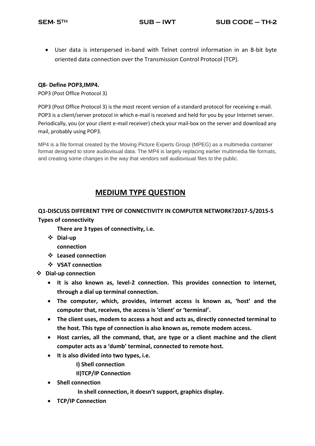User data is interspersed in-band with Telnet control information in an 8-bit byte oriented data connection over the Transmission Control Protocol (TCP).

# **Q8- Define POP3,IMP4.**

POP3 (Post Office Protocol 3)

POP3 (Post Office Protocol 3) is the most recent version of a standard protocol for receiving e-mail. POP3 is a client/server protocol in which e-mail is received and held for you by your Internet server. Periodically, you (or your client e-mail receiver) check your mail-box on the server and download any mail, probably using POP3.

MP4 is a file format created by the Moving Picture Experts Group (MPEG) as a multimedia container format designed to store audiovisual data. The MP4 is largely replacing earlier multimedia file formats, and creating some changes in the way that vendors sell audiovisual files to the public.

# **MEDIUM TYPE QUESTION**

# **Q1-DISCUSS DIFFERENT TYPE OF CONNECTIVITY IN COMPUTER NETWORK?2017-5/2015-5 Types of connectivity**

**There are 3 types of connectivity, i.e.** 

**Dial-up** 

**connection**

- **Leased connection**
- **VSAT connection**

**Dial-up connection**

- **It is also known as, level-2 connection. This provides connection to internet, through a dial up terminal connection.**
- **The computer, which, provides, internet access is known as, 'host' and the computer that, receives, the access is 'client' or 'terminal'.**
- **The client uses, modem to access a host and acts as, directly connected terminal to the host. This type of connection is also known as, remote modem access.**
- **Host carries, all the command, that, are type or a client machine and the client computer acts as a 'dumb' terminal, connected to remote host.**
- **It is also divided into two types, i.e.** 
	- **I) Shell connection**

**II)TCP/IP Connection** 

- **•** Shell connection
	- **In shell connection, it doesn't support, graphics display.**
- **TCP/IP Connection**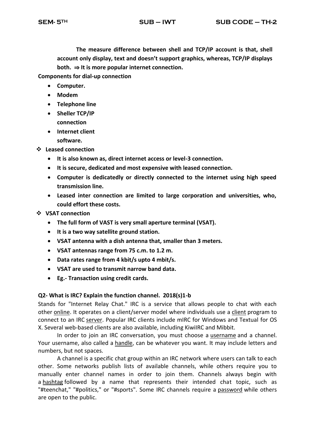**The measure difference between shell and TCP/IP account is that, shell account only display, text and doesn't support graphics, whereas, TCP/IP displays both.** ⇒ **It is more popular internet connection.** 

**Components for dial-up connection**

- **Computer.**
- **Modem**
- **Telephone line**
- **Sheller TCP/IP connection**
- **Internet client** 
	- **software.**
- **Leased connection**
	- **It is also known as, direct internet access or level-3 connection.**
	- **It is secure, dedicated and most expensive with leased connection.**
	- **Computer is dedicatedly or directly connected to the internet using high speed transmission line.**
	- **Leased inter connection are limited to large corporation and universities, who, could effort these costs.**
- **VSAT connection**
	- **The full form of VAST is very small aperture terminal (VSAT).**
	- **It is a two way satellite ground station.**
	- **VSAT antenna with a dish antenna that, smaller than 3 meters.**
	- **VSAT antennas range from 75 c.m. to 1.2 m.**
	- **Data rates range from 4 kbit/s upto 4 mbit/s.**
	- **VSAT are used to transmit narrow band data.**
	- **Eg.- Transaction using credit cards.**

# **Q2- What is IRC? Explain the function channel. 2018(s)1-b**

Stands for "Internet Relay Chat." IRC is a service that allows people to chat with each other [online.](https://techterms.com/definition/online) It operates on a client/server model where individuals use a [client](https://techterms.com/definition/client) program to connect to an IRC [server.](https://techterms.com/definition/server) Popular IRC clients include mIRC for Windows and Textual for OS X. Several web-based clients are also available, including KiwiIRC and Mibbit.

In order to join an IRC conversation, you must choose a [username](https://techterms.com/definition/username) and a channel. Your username, also called a [handle,](https://techterms.com/definition/handle) can be whatever you want. It may include letters and numbers, but not spaces.

A channel is a specific chat group within an IRC network where users can talk to each other. Some networks publish lists of available channels, while others require you to manually enter channel names in order to join them. Channels always begin with a [hashtag](https://techterms.com/definition/hashtag) followed by a name that represents their intended chat topic, such as "#teenchat," "#politics," or "#sports". Some IRC channels require a [password](https://techterms.com/definition/password) while others are open to the public.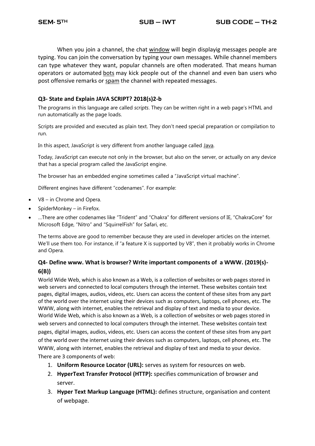When you join a channel, the chat [window](https://techterms.com/definition/window) will begin displayig messages people are typing. You can join the conversation by typing your own messages. While channel members can type whatever they want, popular channels are often moderated. That means human operators or automated [bots](https://techterms.com/definition/bot) may kick people out of the channel and even ban users who post offensive remarks or [spam](https://techterms.com/definition/spam) the channel with repeated messages.

# **Q3- State and Explain JAVA SCRIPT? 2018(s)2-b**

The programs in this language are called *scripts*. They can be written right in a web page's HTML and run automatically as the page loads.

Scripts are provided and executed as plain text. They don't need special preparation or compilation to run.

In this aspect, JavaScript is very different from another language called *Java*.

Today, JavaScript can execute not only in the browser, but also on the server, or actually on any device that has a special program called [the JavaScript engine.](https://en.wikipedia.org/wiki/JavaScript_engine)

The browser has an embedded engine sometimes called a "JavaScript virtual machine".

Different engines have different "codenames". For example:

- [V8](https://en.wikipedia.org/wiki/V8_(JavaScript_engine)) in Chrome and Opera.
- [SpiderMonkey](https://en.wikipedia.org/wiki/SpiderMonkey) in Firefox.
- …There are other codenames like "Trident" and "Chakra" for different versions of IE, "ChakraCore" for Microsoft Edge, "Nitro" and "SquirrelFish" for Safari, etc.

The terms above are good to remember because they are used in developer articles on the internet. We'll use them too. For instance, if "a feature X is supported by V8", then it probably works in Chrome and Opera.

# **Q4- Define www. What is browser? Write important components of a WWW. (2019(s)- 6(B))**

World Wide Web, which is also known as a Web, is a collection of websites or web pages stored in web servers and connected to local computers through the internet. These websites contain text pages, digital images, audios, videos, etc. Users can access the content of these sites from any part of the world over the internet using their devices such as computers, laptops, cell phones, etc. The WWW, along with internet, enables the retrieval and display of text and media to your device. World Wide Web, which is also known as a Web, is a collection of websites or web pages stored in web servers and connected to local computers through the internet. These websites contain text pages, digital images, audios, videos, etc. Users can access the content of these sites from any part of the world over the internet using their devices such as computers, laptops, cell phones, etc. The WWW, along with internet, enables the retrieval and display of text and media to your device. There are 3 components of web:

- 1. **Uniform Resource Locator (URL):** serves as system for resources on web.
- 2. **HyperText Transfer Protocol (HTTP):** specifies communication of browser and server.
- 3. **Hyper Text Markup Language (HTML):** defines structure, organisation and content of webpage.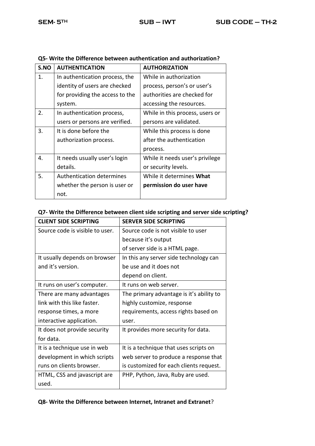| S.NO | <b>AUTHENTICATION</b>            | <b>AUTHORIZATION</b>            |
|------|----------------------------------|---------------------------------|
| 1.   | In authentication process, the   | While in authorization          |
|      | identity of users are checked    | process, person's or user's     |
|      | for providing the access to the  | authorities are checked for     |
|      | system.                          | accessing the resources.        |
| 2.   | In authentication process,       | While in this process, users or |
|      | users or persons are verified.   | persons are validated.          |
| 3.   | It is done before the            | While this process is done      |
|      | authorization process.           | after the authentication        |
|      |                                  | process.                        |
| 4.   | It needs usually user's login    | While it needs user's privilege |
|      | details.                         | or security levels.             |
| 5.   | <b>Authentication determines</b> | While it determines What        |
|      | whether the person is user or    | permission do user have         |
|      | not.                             |                                 |

# **Q5- Write the Difference between authentication and authorization?**

# **Q7- Write the Difference between client side scripting and server side scripting?**

| <b>CLIENT SIDE SCRIPTING</b>    | <b>SERVER SIDE SCRIPTING</b>             |  |
|---------------------------------|------------------------------------------|--|
| Source code is visible to user. | Source code is not visible to user       |  |
|                                 | because it's output                      |  |
|                                 | of server side is a HTML page.           |  |
| It usually depends on browser   | In this any server side technology can   |  |
| and it's version.               | be use and it does not                   |  |
|                                 | depend on client.                        |  |
| It runs on user's computer.     | It runs on web server.                   |  |
| There are many advantages       | The primary advantage is it's ability to |  |
| link with this like faster.     | highly customize, response               |  |
| response times, a more          | requirements, access rights based on     |  |
| interactive application.        | user.                                    |  |
| It does not provide security    | It provides more security for data.      |  |
| for data.                       |                                          |  |
| It is a technique use in web    | It is a technique that uses scripts on   |  |
| development in which scripts    | web server to produce a response that    |  |
| runs on clients browser.        | is customized for each clients request.  |  |
| HTML, CSS and javascript are    | PHP, Python, Java, Ruby are used.        |  |
| used.                           |                                          |  |

**Q8- Write the Difference between Internet, Intranet and Extranet**?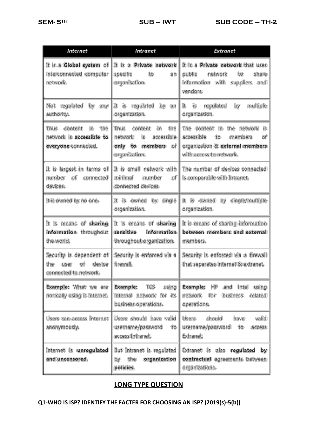| Internet                                                                      | Intranet                                                                                  | Extranet                                                                                                                         |
|-------------------------------------------------------------------------------|-------------------------------------------------------------------------------------------|----------------------------------------------------------------------------------------------------------------------------------|
| It is a Global system of<br>interconnected computer<br>network.               | It is a Private network<br>specific<br>to<br>an<br>organisation.                          | It is a <b>Private network</b> that uses<br>public<br>network<br>share<br>to<br>information with suppliers and<br>vendors.       |
| Not regulated by any<br>authority.                                            | It is regulated by an<br>organization.                                                    | <b>is</b><br>regulated<br>by<br>multiple<br>It<br>organization.                                                                  |
| content in the<br>Thus<br>network is accessible to<br>everyone connected.     | Thus content in<br>the<br>network is<br>accessible<br>only to members of<br>organization. | The content in the network is<br>accessible<br>to<br>members<br>of<br>organization & external members<br>with access to network. |
| It is largest in terms of<br>number of connected<br>devices.                  | It is small network with<br>minimal number<br>of<br>connected devices.                    | The number of devices connected<br>is comparable with Intranet.                                                                  |
| It is owned by no one.                                                        | It is owned by single<br>organization.                                                    | It is owned by single/multiple<br>organization.                                                                                  |
| It is means of sharing<br>information throughout<br>the world.                | It is means of sharing<br>information<br>sensitive<br>throughout organization.            | It is means of sharing information<br>between members and external<br>members.                                                   |
| Security is dependent of<br>of device<br>the<br>user<br>connected to network. | Security is enforced via a<br>firewall.                                                   | Security is enforced via a firewall<br>that separates internet & extranet.                                                       |
| <b>Example:</b> What we are<br>normally using is internet.                    | <b>Example:</b><br>TCS<br>using<br>internal network for its<br>business operations.       | <b>Example:</b> HP<br>and Intel using<br>network for<br>business<br>related<br>operations.                                       |
| Users can access Internet<br>anonymously.                                     | Users should have valid<br>username/password<br>to<br>access Intranet.                    | Users<br>should<br>valid<br>have<br>username/password<br>to<br>access<br>Extranet.                                               |
| Internet is unregulated<br>and uncensored.                                    | But Intranet is regulated<br>by the<br>organization<br>policies.                          | Extranet is also regulated by<br>contractual agreements between<br>organizations.                                                |

# **LONG TYPE QUESTION**

**Q1-WHO IS ISP? IDENTIFY THE FACTER FOR CHOOSING AN ISP? (2019(s)-5(b))**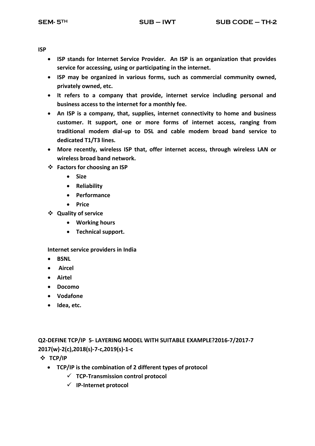**ISP**

- **ISP stands for Internet Service Provider. An ISP is an organization that provides service for accessing, using or participating in the internet.**
- **ISP may be organized in various forms, such as commercial community owned, privately owned, etc.**
- **It refers to a company that provide, internet service including personal and business access to the internet for a monthly fee.**
- **An ISP is a company, that, supplies, internet connectivity to home and business customer. It support, one or more forms of internet access, ranging from traditional modem dial-up to DSL and cable modem broad band service to dedicated T1/T3 lines.**
- **More recently, wireless ISP that, offer internet access, through wireless LAN or wireless broad band network.**
- **Factors for choosing an ISP**
	- **Size**
	- **Reliability**
	- **Performance**
	- **•** Price
- **Quality of service**
	- **Working hours**
	- **Technical support.**

**Internet service providers in India**

- **•** BSNL
- **Aircel**
- **Airtel**
- **Docomo**
- **Vodafone**
- **Idea, etc.**

**Q2-DEFINE TCP/IP 5- LAYERING MODEL WITH SUITABLE EXAMPLE?2016-7/2017-7 2017(w)-2(c),2018(s)-7-c,2019(s)-1-c**

- **TCP/IP**
	- **TCP/IP is the combination of 2 different types of protocol** 
		- **TCP-Transmission control protocol**
		- **IP-Internet protocol**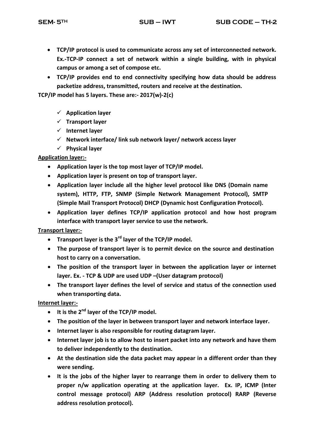- **TCP/IP protocol is used to communicate across any set of interconnected network. Ex.-TCP-IP connect a set of network within a single building, with in physical campus or among a set of compose etc.**
- **TCP/IP provides end to end connectivity specifying how data should be address packetize address, transmitted, routers and receive at the destination.**

**TCP/IP model has 5 layers. These are:- 2017(w)-2(c)**

- **Application layer**
- **Transport layer**
- **Internet layer**
- **Network interface/ link sub network layer/ network access layer**
- **Physical layer**

# **Application layer:-**

- **Application layer is the top most layer of TCP/IP model.**
- **Application layer is present on top of transport layer.**
- **Application layer include all the higher level protocol like DNS (Domain name system), HTTP, FTP, SNMP (Simple Network Management Protocol), SMTP (Simple Mail Transport Protocol) DHCP (Dynamic host Configuration Protocol).**
- **Application layer defines TCP/IP application protocol and how host program interface with transport layer service to use the network.**

# **Transport layer:-**

- **Transport layer is the 3rd layer of the TCP/IP model.**
- **The purpose of transport layer is to permit device on the source and destination host to carry on a conversation.**
- **The position of the transport layer in between the application layer or internet layer. Ex. - TCP & UDP are used UDP –(User datagram protocol)**
- **The transport layer defines the level of service and status of the connection used when transporting data.**

**Internet layer:-**

- **It is the 2nd layer of the TCP/IP model.**
- **The position of the layer in between transport layer and network interface layer.**
- **Internet layer is also responsible for routing datagram layer.**
- **Internet layer job is to allow host to insert packet into any network and have them to deliver independently to the destination.**
- **At the destination side the data packet may appear in a different order than they were sending.**
- **It is the jobs of the higher layer to rearrange them in order to delivery them to proper n/w application operating at the application layer. Ex. IP, ICMP (Inter control message protocol) ARP (Address resolution protocol) RARP (Reverse address resolution protocol).**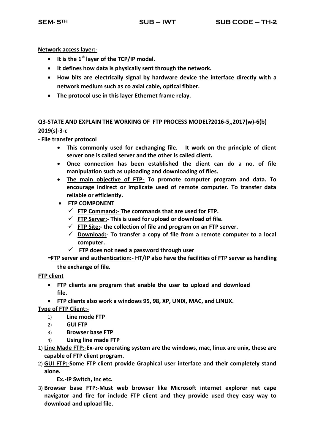**Network access layer:-**

- **It is the 1st layer of the TCP/IP model.**
- **It defines how data is physically sent through the network.**
- **How bits are electrically signal by hardware device the interface directly with a network medium such as co axial cable, optical fibber.**
- **The protocol use in this layer Ethernet frame relay.**

# **Q3-STATE AND EXPLAIN THE WORKING OF FTP PROCESS MODEL?2016-5,,2017(w)-6(b) 2019(s)-3-c**

**- File transfer protocol**

- **This commonly used for exchanging file. It work on the principle of client server one is called server and the other is called client.**
- **Once connection has been established the client can do a no. of file manipulation such as uploading and downloading of files.**
- **The main objective of FTP- To promote computer program and data. To encourage indirect or implicate used of remote computer. To transfer data reliable or efficiently.**
- **FTP COMPONENT**
	- **FTP Command:- The commands that are used for FTP.**
	- **FTP Server:- This is used for upload or download of file.**
	- **FTP Site:- the collection of file and program on an FTP server.**
	- **Download:- To transfer a copy of file from a remote computer to a local computer.**
	- **FTP does not need a password through user**
- ⇒**FTP server and authentication:- HT/IP also have the facilities of FTP server as handling the exchange of file.**

**FTP client**

- **FTP clients are program that enable the user to upload and download file.**
- **FTP clients also work a windows 95, 98, XP, UNIX, MAC, and LINUX.**

**Type of FTP Client:-**

- 1) **Line mode FTP**
- 2) **GUI FTP**
- 3) **Browser base FTP**
- 4) **Using line made FTP**
- 1) **Line Made FTP:-Ex-are operating system are the windows, mac, linux are unix, these are capable of FTP client program.**
- 2) **GUI FTP:-Some FTP client provide Graphical user interface and their completely stand alone.**

**Ex.-IP Switch, Inc etc.** 

3) **Browser base FTP:-Must web browser like Microsoft internet explorer net cape navigator and fire for include FTP client and they provide used they easy way to download and upload file.**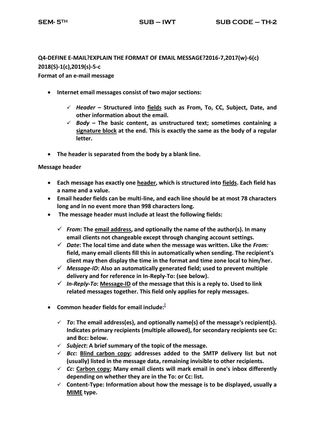# **Q4-DEFINE E-MAIL?EXPLAIN THE FORMAT OF EMAIL MESSAGE?2016-7,2017(w)-6(c) 2018(S)-1(c),2019(s)-5-c**

**Format of an e-mail message**

- **Internet email messages consist of two major sections:**
	- *Header* **– Structured into [fields](http://en.wikipedia.org/wiki/Field_(computer_science)) such as From, To, CC, Subject, Date, and other information about the email.**
	- *Body* **– The basic content, as unstructured text; sometimes containing a [signature block](http://en.wikipedia.org/wiki/Signature_block) at the end. This is exactly the same as the body of a regular letter.**
- **The header is separated from the body by a blank line.**

# **Message header**

- **Each message has exactly one [header,](http://en.wikipedia.org/wiki/Header_(computing)) which is structured into [fields.](http://en.wikipedia.org/wiki/Field_(computer_science)) Each field has a name and a value.**
- **Email header fields can be multi-line, and each line should be at most 78 characters long and in no event more than 998 characters long.**
- **The message header must include at least the following fields:**
	- *From***: The [email address,](http://en.wikipedia.org/wiki/Email_address) and optionally the name of the author(s). In many email clients not changeable except through changing account settings.**
	- *Date***: The local time and date when the message was written. Like the** *From:* **field, many email clients fill this in automatically when sending. The recipient's client may then display the time in the format and time zone local to him/her.**
	- *Message-ID***: Also an automatically generated field; used to prevent multiple delivery and for reference in In-Reply-To: (see below).**
	- *In-Reply-To***[: Message-ID](http://en.wikipedia.org/wiki/Message-ID) of the message that this is a reply to. Used to link related messages together. This field only applies for reply messages.**
- **Common header fields for email include:[**
	- *To***: The email address(es), and optionally name(s) of the message's recipient(s). Indicates primary recipients (multiple allowed), for secondary recipients see Cc: and Bcc: below.**
	- *Subject***: A brief summary of the topic of the message.**
	- $\leq$  *Bcc*: **Blind carbon copy**; addresses added to the SMTP delivery list but not **(usually) listed in the message data, remaining invisible to other recipients.**
	- *Cc***: [Carbon copy;](http://en.wikipedia.org/wiki/Carbon_copy) Many email clients will mark email in one's inbox differently depending on whether they are in the To: or Cc: list.**
	- **[Content-Type:](http://en.wikipedia.org/wiki/Content-Type) Information about how the message is to be displayed, usually a [MIME](http://en.wikipedia.org/wiki/MIME) type.**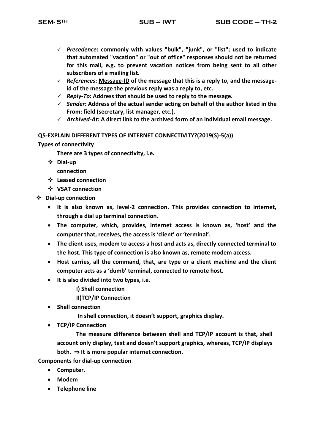- *Precedence***: commonly with values "bulk", "junk", or "list"; used to indicate that automated "vacation" or "out of office" responses should not be returned for this mail, e.g. to prevent vacation notices from being sent to all other subscribers of a mailing list.**
- *References***: [Message-ID](http://en.wikipedia.org/wiki/Message-ID) of the message that this is a reply to, and the messageid of the message the previous reply was a reply to, etc.**
- *Reply-To***: Address that should be used to reply to the message.**
- *Sender***: Address of the actual sender acting on behalf of the author listed in the From: field (secretary, list manager, etc.).**
- *Archived-At***: A direct link to the archived form of an individual email message.**

#### **Q5-EXPLAIN DIFFERENT TYPES OF INTERNET CONNECTIVITY?(2019(S)-5(a))**

#### **Types of connectivity**

**There are 3 types of connectivity, i.e.** 

- **Dial-up** 
	- **connection**
- **Leased connection**
- **VSAT connection**
- **Dial-up connection**
	- **It is also known as, level-2 connection. This provides connection to internet, through a dial up terminal connection.**
	- **The computer, which, provides, internet access is known as, 'host' and the computer that, receives, the access is 'client' or 'terminal'.**
	- **The client uses, modem to access a host and acts as, directly connected terminal to the host. This type of connection is also known as, remote modem access.**
	- **Host carries, all the command, that, are type or a client machine and the client computer acts as a 'dumb' terminal, connected to remote host.**
	- **It is also divided into two types, i.e.** 
		- **I) Shell connection**

**II)TCP/IP Connection** 

**Shell connection**

**In shell connection, it doesn't support, graphics display.** 

**TCP/IP Connection**

**The measure difference between shell and TCP/IP account is that, shell account only display, text and doesn't support graphics, whereas, TCP/IP displays both.**  $\Rightarrow$  **It is more popular internet connection.** 

**Components for dial-up connection**

- **Computer.**
- **Modem**
- **Telephone line**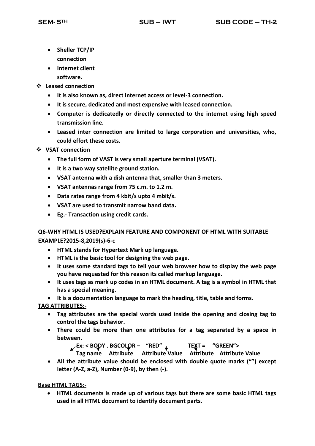- **Sheller TCP/IP connection**
- **Internet client software.**
- **Leased connection**
	- **It is also known as, direct internet access or level-3 connection.**
	- **It is secure, dedicated and most expensive with leased connection.**
	- **Computer is dedicatedly or directly connected to the internet using high speed transmission line.**
	- **Leased inter connection are limited to large corporation and universities, who, could effort these costs.**
- **VSAT connection**
	- **The full form of VAST is very small aperture terminal (VSAT).**
	- **It is a two way satellite ground station.**
	- **VSAT antenna with a dish antenna that, smaller than 3 meters.**
	- **VSAT antennas range from 75 c.m. to 1.2 m.**
	- **Data rates range from 4 kbit/s upto 4 mbit/s.**
	- **VSAT are used to transmit narrow band data.**
	- **Eg.- Transaction using credit cards.**

**Q6-WHY HTML IS USED?EXPLAIN FEATURE AND COMPONENT OF HTML WITH SUITABLE EXAMPLE?2015-8,2019(s)-6-c**

- **HTML stands for Hypertext Mark up language.**
- **HTML is the basic tool for designing the web page.**
- **It uses some standard tags to tell your web browser how to display the web page you have requested for this reason its called markup language.**
- **It uses tags as mark up codes in an HTML document. A tag is a symbol in HTML that has a special meaning.**

**It is a documentation language to mark the heading, title, table and forms.** 

**TAG ATTRIBUTES:-**

- **Tag attributes are the special words used inside the opening and closing tag to control the tags behavior.**
- **There could be more than one attributes for a tag separated by a space in between.**

**Ex: < BODY . BGCOLOR – "RED" TEXT = "GREEN">** 

- **Tag name Attribute Attribute Value Attribute Attribute Value**
- **All the attribute value should be enclosed with double quote marks ("") except letter (A-Z, a-Z), Number (0-9), by then (-).**

**Base HTML TAGS:-**

 **HTML documents is made up of various tags but there are some basic HTML tags used in all HTML document to identify document parts.**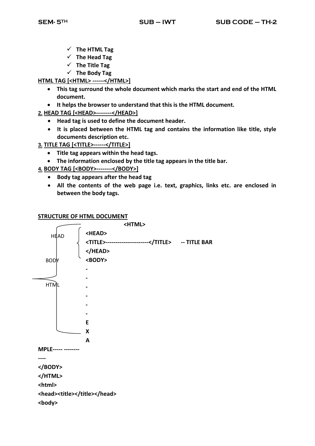- **The HTML Tag**
- **The Head Tag**
- **The Title Tag**
- **The Body Tag**

# **HTML TAG [<HTML> ------</HTML>]**

- **This tag surround the whole document which marks the start and end of the HTML document.**
- **It helps the browser to understand that this is the HTML document.**
- **2. HEAD TAG [<HEAD>--------</HEAD>]**
	- **Head tag is used to define the document header.**
	- **It is placed between the HTML tag and contains the information like title, style documents description etc.**
- **3. TITLE TAG [<TITLE>------</TITLE>]**
	- **Title tag appears within the head tags.**
	- **The information enclosed by the title tag appears in the title bar.**
- **4. BODY TAG [<BODY>--------</BODY>]**
	- **Body tag appears after the head tag**
	- **All the contents of the web page i.e. text, graphics, links etc. are enclosed in between the body tags.**

# **STRUCTURE OF HTML DOCUMENT**